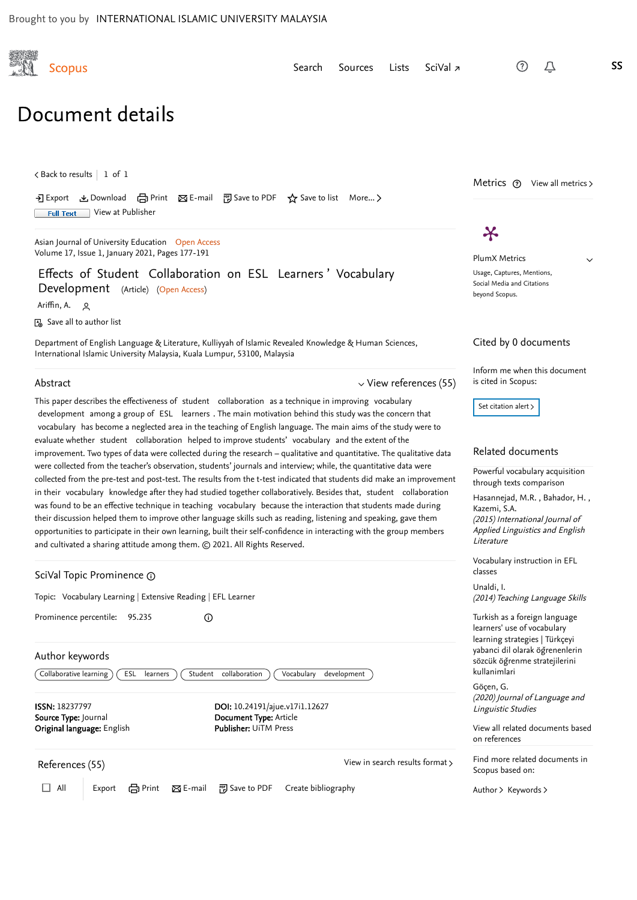<span id="page-0-2"></span>

[Search](https://www.scopus.com/search/form.uri?zone=TopNavBar&origin=recordpage&display=basic) [Sources](https://www.scopus.com/sources.uri?zone=TopNavBar&origin=recordpage) [Lists](https://www.scopus.com/results/storedList.uri?listId=myDocList&origin=recordpage&zone=TopNavBar) [SciVal](https://www.scival.com/home) <sub></sub>, △ S**SS** 

# Document details

 $\zeta$  [Back to results](https://www.scopus.com/results/results.uri?sort=plf-f&src=s&sid=429cce2ab73834c1dfc27aef144c071a&sot=b&sdt=b&sl=87&s=TITLE-ABS-KEY%28Effects+of+Student+Collaboration+on+ESL+Learners%e2%80%99+Vocabulary+Development%29&offset=1&origin=recordpage)  $\vert$  1 of 1

→ Export と Download 【 Print ⊠ E-mail ア Save to PDF ☆ Save to list More... 〉 Full Text [View at Publisher](https://www.scopus.com/redirect/linking.uri?targetURL=https%3a%2f%2fdoi.org%2f10.24191%2fajue.v17i1.12627&locationID=1&categoryID=4&eid=2-s2.0-85102785964&issn=18237797&linkType=ViewAtPublisher&year=2021&origin=recordpage&dig=367842181e6fdebf4a49c191f0095c90)

[Asian Journal of University Education](https://www.scopus.com/sourceid/21100942342?origin=recordpage) Open Access Volume 17, Issue 1, January 2021, Pages 177-191

# Effects of Student Collaboration on ESL Learners ' Vocabulary Development (Article) (Open Access)

<span id="page-0-1"></span>[Ariffin, A.](https://www.scopus.com/authid/detail.uri?authorId=57222477447&eid=2-s2.0-85102785964) Q

Save all to author list

Department of English Language & Literature, Kulliyyah of Islamic Revealed Knowledge & Human Sciences, International Islamic University Malaysia, Kuala Lumpur, 53100, Malaysia

#### Abstract

 $\vee$  [View references \(55\)](#page-0-0)

This paper describes the effectiveness of student collaboration as a technique in improving vocabulary development among a group of ESL learners . The main motivation behind this study was the concern that vocabulary has become a neglected area in the teaching of English language. The main aims of the study were to evaluate whether student collaboration helped to improve students' vocabulary and the extent of the improvement. Two types of data were collected during the research – qualitative and quantitative. The qualitative data were collected from the teacher's observation, students' journals and interview; while, the quantitative data were collected from the pre-test and post-test. The results from the t-test indicated that students did make an improvement in their vocabulary knowledge after they had studied together collaboratively. Besides that, student collaboration was found to be an effective technique in teaching vocabulary because the interaction that students made during their discussion helped them to improve other language skills such as reading, listening and speaking, gave them opportunities to participate in their own learning, built their self-confidence in interacting with the group members and cultivated a sharing attitude among them. © 2021. All Rights Reserved.

| References (55)                                              |                                                       | View in search results format > |  |
|--------------------------------------------------------------|-------------------------------------------------------|---------------------------------|--|
| Original language: English                                   | <b>Publisher: UiTM Press</b>                          |                                 |  |
| Source Type: Journal                                         | Document Type: Article                                |                                 |  |
| <b>ISSN: 18237797</b>                                        | DOI: 10.24191/ajue.v17i1.12627                        |                                 |  |
| Collaborative learning<br>ESL<br>learners                    | Student<br>collaboration<br>Vocabulary<br>development |                                 |  |
| Author keywords                                              |                                                       |                                 |  |
|                                                              |                                                       |                                 |  |
| Prominence percentile:<br>95.235                             | ⋒                                                     |                                 |  |
| Topic: Vocabulary Learning   Extensive Reading   EFL Learner |                                                       |                                 |  |
| GoiVal Topic Prominence @                                    |                                                       |                                 |  |

<span id="page-0-0"></span>

□ All | Export 台 Print ⊠ E-mail 函 Save to PDF Create bibliography

Metrics  $\circled{?}$  View all metrics >

 $\boldsymbol{\varkappa}$ 

PlumX Metrics

 $\checkmark$ 

Usage, Captures, Mentions, Social Media and Citations beyond Scopus.

#### Cited by 0 documents

Inform me when this document is cited in Scopus:

Set citation alert >

# Related documents

[Powerful vocabulary acquisition](https://www.scopus.com/record/display.uri?origin=recordpage&zone=relatedDocuments&eid=2-s2.0-84946416168&citeCnt=0&noHighlight=false&sort=plf-f&src=s&sid=429cce2ab73834c1dfc27aef144c071a&sot=b&sdt=b&sl=87&s=TITLE-ABS-KEY%28Effects+of+Student+Collaboration+on+ESL+Learners%e2%80%99+Vocabulary+Development%29&relpos=0) through texts comparison

[Hasannejad, M.R.](https://www.scopus.com/authid/detail.uri?origin=recordpage&authorId=36241742100&zone=relatedDocuments) , Bahador, H. , (2015) International Journal of Applied Linguistics and English Literature [Kazemi, S.A.](https://www.scopus.com/authid/detail.uri?origin=recordpage&authorId=56946459400&zone=relatedDocuments)

[Vocabulary instruction in EFL](https://www.scopus.com/record/display.uri?origin=recordpage&zone=relatedDocuments&eid=2-s2.0-84953875608&citeCnt=0&noHighlight=false&sort=plf-f&src=s&sid=429cce2ab73834c1dfc27aef144c071a&sot=b&sdt=b&sl=87&s=TITLE-ABS-KEY%28Effects+of+Student+Collaboration+on+ESL+Learners%e2%80%99+Vocabulary+Development%29&relpos=1) classes

014) Teaching Language Skills [Unaldi, I.](https://www.scopus.com/authid/detail.uri?origin=recordpage&authorId=55936060100&zone=relatedDocuments)

rkish as a foreign language rners' use of vocabulary rning strategies | Türkçeyi anci dil olarak öğrenenlerin zcük öğrenme stratejilerini lanimlari

(20) Journal of Language and nguistic Studies icen, G.

[View all related documents based](https://www.scopus.com/search/submit/mlt.uri?eid=2-s2.0-85102785964&src=s&all=true&origin=recordpage&method=ref&zone=relatedDocuments) references

d more related documents in pus based on:

[Author](https://www.scopus.com/search/submit/mlt.uri?eid=2-s2.0-85102785964&src=s&all=true&origin=recordpage&method=aut&zone=relatedDocuments) > [Keywords](https://www.scopus.com/search/submit/mlt.uri?eid=2-s2.0-85102785964&src=s&all=true&origin=recordpage&method=key&zone=relatedDocuments) >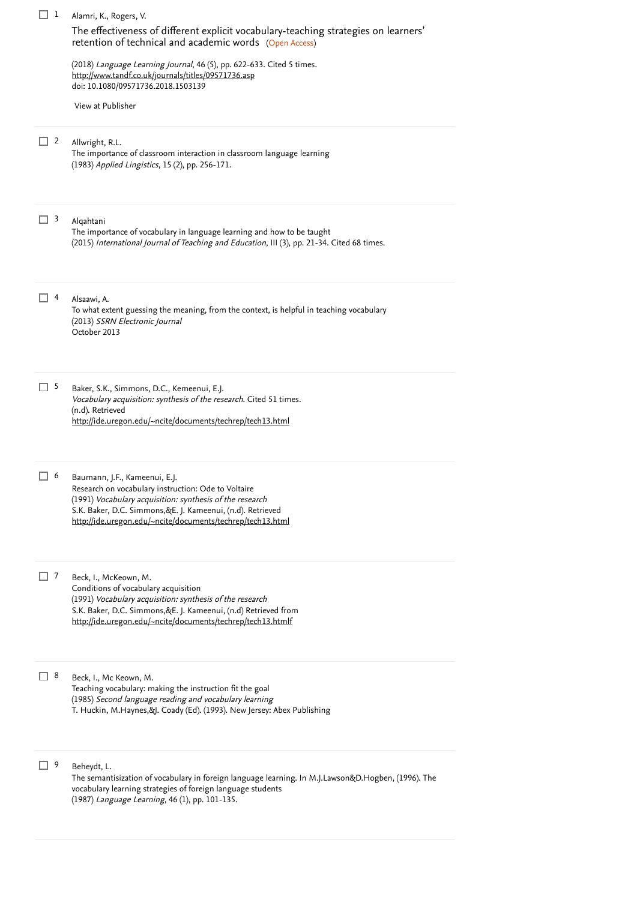| $\Box$ 1 | Alamri, K., Rogers, V.                                                                                                                                                                                                                                                        |
|----------|-------------------------------------------------------------------------------------------------------------------------------------------------------------------------------------------------------------------------------------------------------------------------------|
|          | The effectiveness of different explicit vocabulary-teaching strategies on learners'<br>retention of technical and academic words (Open Access)                                                                                                                                |
|          | (2018) Language Learning Journal, 46 (5), pp. 622-633. Cited 5 times.<br>http://www.tandf.co.uk/journals/titles/09571736.asp<br>doi: 10.1080/09571736.2018.1503139                                                                                                            |
|          | View at Publisher                                                                                                                                                                                                                                                             |
| $\Box$ 2 | Allwright, R.L.<br>The importance of classroom interaction in classroom language learning<br>(1983) Applied Lingistics, 15 (2), pp. 256-171.                                                                                                                                  |
| $\Box$ 3 | Alqahtani<br>The importance of vocabulary in language learning and how to be taught<br>(2015) International Journal of Teaching and Education, III (3), pp. 21-34. Cited 68 times.                                                                                            |
| $\Box$ 4 | Alsaawi, A.<br>To what extent guessing the meaning, from the context, is helpful in teaching vocabulary<br>(2013) SSRN Electronic Journal<br>October 2013                                                                                                                     |
| $\Box$ 5 | Baker, S.K., Simmons, D.C., Kemeenui, E.J.<br>Vocabulary acquisition: synthesis of the research. Cited 51 times.<br>(n.d). Retrieved<br>http://ide.uregon.edu/~ncite/documents/techrep/tech13.html                                                                            |
| $\Box$ 6 | Baumann, J.F., Kameenui, E.J.<br>Research on vocabulary instruction: Ode to Voltaire<br>(1991) Vocabulary acquisition: synthesis of the research<br>S.K. Baker, D.C. Simmons, &E. J. Kameenui, (n.d). Retrieved<br>http://ide.uregon.edu/~ncite/documents/techrep/tech13.html |
| $\Box$ 7 | Beck, I., McKeown, M.<br>Conditions of vocabulary acquisition<br>(1991) Vocabulary acquisition: synthesis of the research<br>S.K. Baker, D.C. Simmons, &E. J. Kameenui, (n.d) Retrieved from<br>http://ide.uregon.edu/~ncite/documents/techrep/tech13.htmlf                   |
| $\Box$ 8 | Beck, I., Mc Keown, M.<br>Teaching vocabulary: making the instruction fit the goal<br>(1985) Second language reading and vocabulary learning<br>T. Huckin, M.Haynes, &J. Coady (Ed). (1993). New Jersey: Abex Publishing                                                      |
| 口 9      | Beheydt, L.<br>The semantisization of vocabulary in foreign language learning. In M.J.Lawson&D.Hogben, (1996). The<br>vocabulary learning strategies of foreign language students<br>(1987) Language Learning, 46 (1), pp. 101-135.                                           |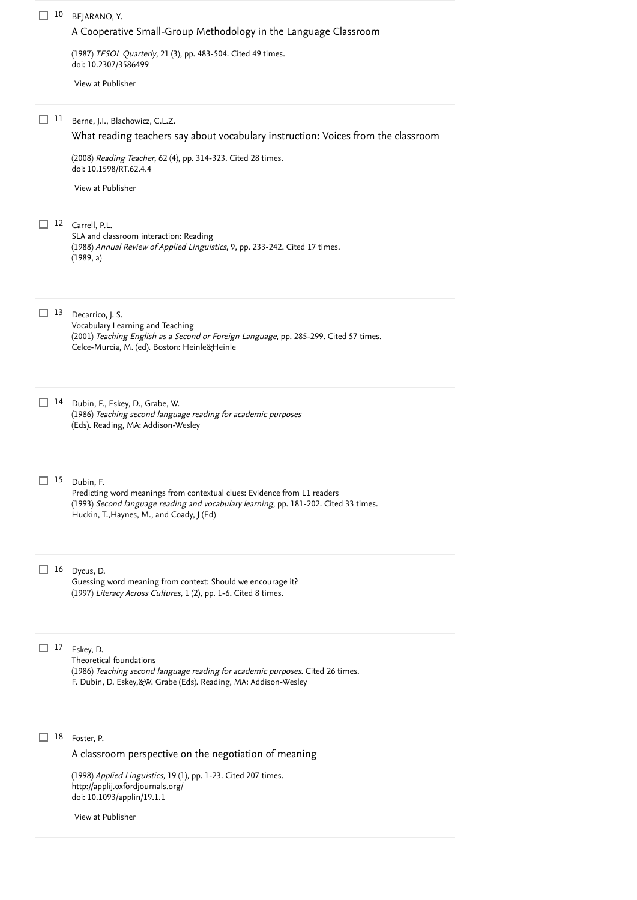| 10                      | BEJARANO, Y.<br>A Cooperative Small-Group Methodology in the Language Classroom                                                                                               |
|-------------------------|-------------------------------------------------------------------------------------------------------------------------------------------------------------------------------|
|                         | (1987) TESOL Quarterly, 21 (3), pp. 483-504. Cited 49 times.<br>doi: 10.2307/3586499                                                                                          |
|                         | View at Publisher                                                                                                                                                             |
| $_{11}$<br>$\mathsf{L}$ | Berne, J.I., Blachowicz, C.L.Z.                                                                                                                                               |
|                         | What reading teachers say about vocabulary instruction: Voices from the classroom<br>(2008) Reading Teacher, 62 (4), pp. 314-323. Cited 28 times.                             |
|                         | doi: 10.1598/RT.62.4.4<br>View at Publisher                                                                                                                                   |
|                         |                                                                                                                                                                               |
|                         | 12 Carrell, P.L.<br>SLA and classroom interaction: Reading<br>(1988) Annual Review of Applied Linguistics, 9, pp. 233-242. Cited 17 times.<br>(1989, a)                       |
| 13                      | Decarrico, J. S.<br>Vocabulary Learning and Teaching                                                                                                                          |
|                         | (2001) Teaching English as a Second or Foreign Language, pp. 285-299. Cited 57 times.<br>Celce-Murcia, M. (ed). Boston: Heinle&Heinle                                         |
| 14<br>$\perp$           | Dubin, F., Eskey, D., Grabe, W.<br>(1986) Teaching second language reading for academic purposes                                                                              |
|                         | (Eds). Reading, MA: Addison-Wesley                                                                                                                                            |
| 15                      | Dubin, F.<br>Predicting word meanings from contextual clues: Evidence from L1 readers                                                                                         |
|                         | (1993) Second language reading and vocabulary learning, pp. 181-202. Cited 33 times.<br>Huckin, T., Haynes, M., and Coady, J (Ed)                                             |
| 16<br>$\mathsf{L}$      | Dycus, D.                                                                                                                                                                     |
|                         | Guessing word meaning from context: Should we encourage it?<br>(1997) Literacy Across Cultures, 1 (2), pp. 1-6. Cited 8 times.                                                |
| 17<br>L.                | Eskey, D.                                                                                                                                                                     |
|                         | Theoretical foundations<br>(1986) Teaching second language reading for academic purposes. Cited 26 times.<br>F. Dubin, D. Eskey, &W. Grabe (Eds). Reading, MA: Addison-Wesley |
|                         |                                                                                                                                                                               |
| 18                      | Foster, P.                                                                                                                                                                    |
|                         | A classroom perspective on the negotiation of meaning<br>(1998) Applied Linguistics, 19 (1), pp. 1-23. Cited 207 times.                                                       |
|                         | http://applij.oxfordjournals.org/<br>doi: 10.1093/applin/19.1.1                                                                                                               |
|                         | View at Publisher                                                                                                                                                             |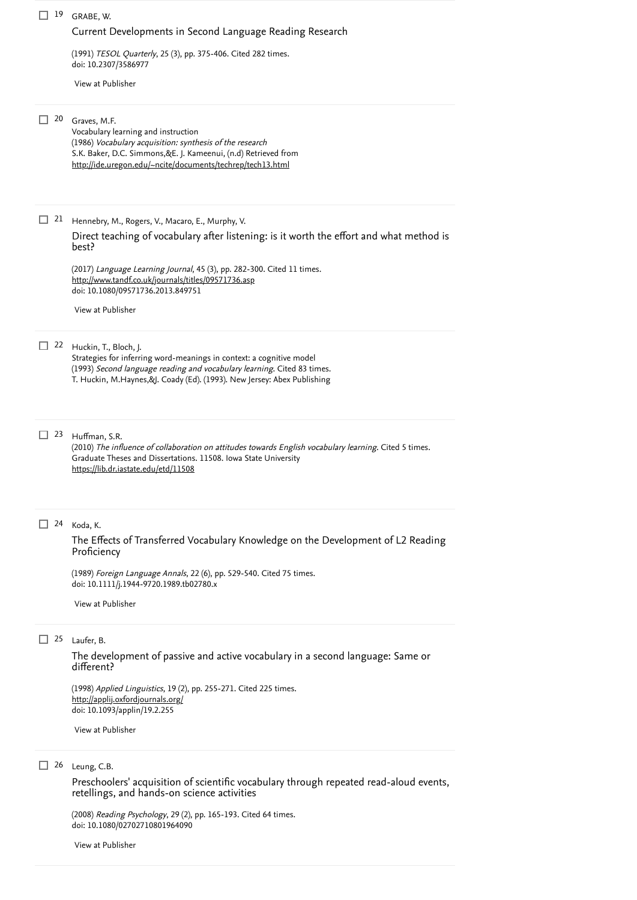### GRABE, W. 19

#### [Current Developments in Second Language Reading Research](https://www.scopus.com/record/display.uri?eid=2-s2.0-84981611635&origin=reflist&sort=plf-f&src=s&sid=429cce2ab73834c1dfc27aef144c071a&sot=b&sdt=b&sl=87&s=TITLE-ABS-KEY%28Effects+of+Student+Collaboration+on+ESL+Learners%e2%80%99+Vocabulary+Development%29)

(1991) *TESOL Quarterly*, 25 (3), pp. 375-406. [Cited 282 times](https://www.scopus.com/search/submit/citedby.uri?eid=2-s2.0-85102785964&refeid=2-s2.0-84981611635&src=s&origin=reflist&refstat=core). doi: 10.2307/3586977

[View at Publisher](https://www.scopus.com/redirect/linking.uri?targetURL=https%3a%2f%2fdoi.org%2f10.2307%2f3586977&locationID=3&categoryID=4&eid=2-s2.0-84981611635&issn=15457249&linkType=ViewAtPublisher&year=1991&origin=reflist&dig=693dacab39b090626ff66f213f0b6835)

#### Graves, M.F. 20

Vocabulary learning and instruction (1986) Vocabulary acquisition: synthesis of the research S.K. Baker, D.C. Simmons,&E. J. Kameenui, (n.d) Retrieved from <http://ide.uregon.edu/~ncite/documents/techrep/tech13.html>

21 Hennebry, M., Rogers, V., Macaro, E., Murphy, V.

[Direct teaching of vocabulary after listening: is it worth the effort and what method is](https://www.scopus.com/record/display.uri?eid=2-s2.0-84888795506&origin=reflist&sort=plf-f&src=s&sid=429cce2ab73834c1dfc27aef144c071a&sot=b&sdt=b&sl=87&s=TITLE-ABS-KEY%28Effects+of+Student+Collaboration+on+ESL+Learners%e2%80%99+Vocabulary+Development%29) best?

(2017) *Language Learning Journal*, 45 (3), pp. 282-300. [Cited 11 times](https://www.scopus.com/search/submit/citedby.uri?eid=2-s2.0-85102785964&refeid=2-s2.0-84888795506&src=s&origin=reflist&refstat=core).<br><u><http://www.tandf.co.uk/journals/titles/09571736.asp></u> doi: 10.1080/09571736.2013.849751

[View at Publisher](https://www.scopus.com/redirect/linking.uri?targetURL=https%3a%2f%2fdoi.org%2f10.1080%2f09571736.2013.849751&locationID=3&categoryID=4&eid=2-s2.0-84888795506&issn=17532167&linkType=ViewAtPublisher&year=2017&origin=reflist&dig=769904a32246d0f23c5f355df8e65a76)

### 22 Huckin, T., Bloch, J.

Strategies for inferring word-meanings in context: a cognitive model (1993) *Second language reading and vocabulary learning*. [Cited 83 times](https://www.scopus.com/search/submit/citedby.uri?eid=2-s2.0-85102785964&refeid=2-s2.0-0012893242&src=s&origin=reflist&refstat=dummy). T. Huckin, M.Haynes,&J. Coady (Ed). (1993). New Jersey: Abex Publishing

Huffman, S.R. 23

(2010) *The influence of collaboration on attitudes towards English vocabulary learning*. [Cited 5 times](https://www.scopus.com/search/submit/citedby.uri?eid=2-s2.0-85102785964&refeid=2-s2.0-85052980701&src=s&origin=reflist&refstat=dummy).  $\,$ Graduate Theses and Dissertations. 11508. Iowa State University <https://lib.dr.iastate.edu/etd/11508>

#### 24 Koda, K.

[The Effects of Transferred Vocabulary Knowledge on the Development of L2 Reading](https://www.scopus.com/record/display.uri?eid=2-s2.0-84980258197&origin=reflist&sort=plf-f&src=s&sid=429cce2ab73834c1dfc27aef144c071a&sot=b&sdt=b&sl=87&s=TITLE-ABS-KEY%28Effects+of+Student+Collaboration+on+ESL+Learners%e2%80%99+Vocabulary+Development%29) Proficiency

(1989) *Foreign Language Annals*, 22 (6), pp. 529-540. [Cited 75 times](https://www.scopus.com/search/submit/citedby.uri?eid=2-s2.0-85102785964&refeid=2-s2.0-84980258197&src=s&origin=reflist&refstat=core). doi: 10.1111/j.1944-9720.1989.tb02780.x

[View at Publisher](https://www.scopus.com/redirect/linking.uri?targetURL=https%3a%2f%2fdoi.org%2f10.1111%2fj.1944-9720.1989.tb02780.x&locationID=3&categoryID=4&eid=2-s2.0-84980258197&issn=19449720&linkType=ViewAtPublisher&year=1989&origin=reflist&dig=082d4ba8dac87370e0117e73902f6b5c)

#### 25 Laufer, B.

[The development of passive and active vocabulary in a second language: Same or](https://www.scopus.com/record/display.uri?eid=2-s2.0-0039065097&origin=reflist&sort=plf-f&src=s&sid=429cce2ab73834c1dfc27aef144c071a&sot=b&sdt=b&sl=87&s=TITLE-ABS-KEY%28Effects+of+Student+Collaboration+on+ESL+Learners%e2%80%99+Vocabulary+Development%29) different?

(1998) Applied Linguistics, 19 (2), pp. 255-271. [Cited 225 times](https://www.scopus.com/search/submit/citedby.uri?eid=2-s2.0-85102785964&refeid=2-s2.0-0039065097&src=s&origin=reflist&refstat=core). doi: 10.1093/applin/19.2.255 <http://applij.oxfordjournals.org/>

[View at Publisher](https://www.scopus.com/redirect/linking.uri?targetURL=https%3a%2f%2fdoi.org%2f10.1093%2fapplin%2f19.2.255&locationID=3&categoryID=4&eid=2-s2.0-0039065097&issn=01426001&linkType=ViewAtPublisher&year=1998&origin=reflist&dig=ec7c82bd5d1d0d1bb66a315bc856c787)

#### 26 Leung, C.B.

[Preschoolers' acquisition of scientific vocabulary through repeated read-aloud events,](https://www.scopus.com/record/display.uri?eid=2-s2.0-42049100102&origin=reflist&sort=plf-f&src=s&sid=429cce2ab73834c1dfc27aef144c071a&sot=b&sdt=b&sl=87&s=TITLE-ABS-KEY%28Effects+of+Student+Collaboration+on+ESL+Learners%e2%80%99+Vocabulary+Development%29) retellings, and hands-on science activities

(2008) *Reading Psychology*, 29 (2), pp. 165-193. [Cited 64 times](https://www.scopus.com/search/submit/citedby.uri?eid=2-s2.0-85102785964&refeid=2-s2.0-42049100102&src=s&origin=reflist&refstat=core). doi: 10.1080/02702710801964090

[View at Publisher](https://www.scopus.com/redirect/linking.uri?targetURL=https%3a%2f%2fdoi.org%2f10.1080%2f02702710801964090&locationID=3&categoryID=4&eid=2-s2.0-42049100102&issn=02702711&linkType=ViewAtPublisher&year=2008&origin=reflist&dig=cca89eb4c7f8b995a8d4ce5d34191010)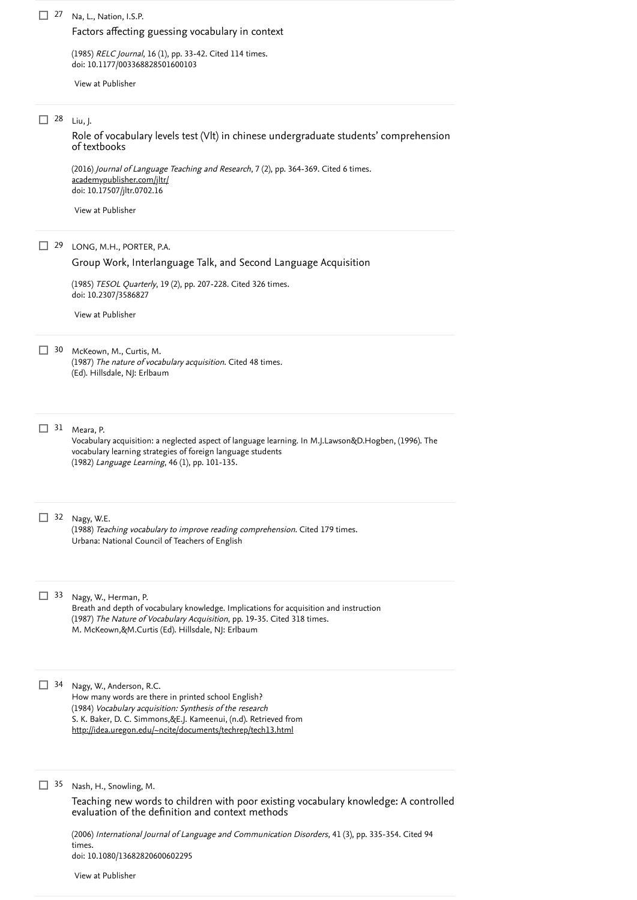#### 27 Na, L., Nation, I.S.P.

# [Factors affecting guessing vocabulary in context](https://www.scopus.com/record/display.uri?eid=2-s2.0-84964953799&origin=reflist&sort=plf-f&src=s&sid=429cce2ab73834c1dfc27aef144c071a&sot=b&sdt=b&sl=87&s=TITLE-ABS-KEY%28Effects+of+Student+Collaboration+on+ESL+Learners%e2%80%99+Vocabulary+Development%29)

(1985) *RELC Journal*, 16 (1), pp. 33-42. [Cited 114 times](https://www.scopus.com/search/submit/citedby.uri?eid=2-s2.0-85102785964&refeid=2-s2.0-84964953799&src=s&origin=reflist&refstat=core). doi: 10.1177/003368828501600103

[View at Publisher](https://www.scopus.com/redirect/linking.uri?targetURL=https%3a%2f%2fdoi.org%2f10.1177%2f003368828501600103&locationID=3&categoryID=4&eid=2-s2.0-84964953799&issn=1745526X&linkType=ViewAtPublisher&year=1985&origin=reflist&dig=c74939a0b8989e657ba6d47b06dfd66a)

# 28 Liu, J.

[Role of vocabulary levels test \(Vlt\) in chinese undergraduate students' comprehension](https://www.scopus.com/record/display.uri?eid=2-s2.0-85051354738&origin=reflist&sort=plf-f&src=s&sid=429cce2ab73834c1dfc27aef144c071a&sot=b&sdt=b&sl=87&s=TITLE-ABS-KEY%28Effects+of+Student+Collaboration+on+ESL+Learners%e2%80%99+Vocabulary+Development%29) of textbooks

(2016) *Journal of Language Teaching and Research*, 7 (2), pp. 364-369. [Cited 6 times](https://www.scopus.com/search/submit/citedby.uri?eid=2-s2.0-85102785964&refeid=2-s2.0-85051354738&src=s&origin=reflist&refstat=core). doi: 10.17507/jltr.0702.16 [academypublisher.com/jltr/](https://www.scopus.com/record/academypublisher.com/jltr/)

[View at Publisher](https://www.scopus.com/redirect/linking.uri?targetURL=https%3a%2f%2fdoi.org%2f10.17507%2fjltr.0702.16&locationID=3&categoryID=4&eid=2-s2.0-85051354738&issn=20530684&linkType=ViewAtPublisher&year=2016&origin=reflist&dig=a7914e1a4b724388415d73054920917a)

## LONG, M.H., PORTER, P.A. 29

# [Group Work, Interlanguage Talk, and Second Language Acquisition](https://www.scopus.com/record/display.uri?eid=2-s2.0-84981676753&origin=reflist&sort=plf-f&src=s&sid=429cce2ab73834c1dfc27aef144c071a&sot=b&sdt=b&sl=87&s=TITLE-ABS-KEY%28Effects+of+Student+Collaboration+on+ESL+Learners%e2%80%99+Vocabulary+Development%29)

(1985) *TESOL Quarterly*, 19 (2), pp. 207-228. [Cited 326 times](https://www.scopus.com/search/submit/citedby.uri?eid=2-s2.0-85102785964&refeid=2-s2.0-84981676753&src=s&origin=reflist&refstat=core). doi: 10.2307/3586827

[View at Publisher](https://www.scopus.com/redirect/linking.uri?targetURL=https%3a%2f%2fdoi.org%2f10.2307%2f3586827&locationID=3&categoryID=4&eid=2-s2.0-84981676753&issn=15457249&linkType=ViewAtPublisher&year=1985&origin=reflist&dig=a7a5ddb8e35b3f1fc5a57e2b70358733)

30 McKeown, M., Curtis, M.

(1987) *The nature of vocabulary acquisition*. [Cited 48 times](https://www.scopus.com/search/submit/citedby.uri?eid=2-s2.0-85102785964&refeid=2-s2.0-0004087549&src=s&origin=reflist&refstat=dummy). (Ed). Hillsdale, NJ: Erlbaum

 $31$  Meara, P.

Vocabulary acquisition: a neglected aspect of language learning. In M.J.Lawson&D.Hogben, (1996). The vocabulary learning strategies of foreign language students (1982) Language Learning, 46 (1), pp. 101-135.

32 Nagy, W.E.

(1988) *Teaching vocabulary to improve reading comprehension*. [Cited 179 times](https://www.scopus.com/search/submit/citedby.uri?eid=2-s2.0-85102785964&refeid=2-s2.0-0004297063&src=s&origin=reflist&refstat=dummy).<br>Urbana: National Council of Teachers of English<br>33 Nagv. W.. Herman. P. Urbana: National Council of Teachers of English

Nagy, W., Herman, P.

Breath and depth of vocabulary knowledge. Implications for acquisition and instruction (1987) *The Nature of Vocabulary Acquisition*, pp. 19-35. [Cited 318 times](https://www.scopus.com/search/submit/citedby.uri?eid=2-s2.0-85102785964&refeid=2-s2.0-0002935799&src=s&origin=reflist&refstat=dummy). M. McKeown,&M.Curtis (Ed). Hillsdale, NJ: Erlbaum

34 Nagy, W., Anderson, R.C. How many words are there in printed school English? (1984) Vocabulary acquisition: Synthesis of the research S. K. Baker, D. C. Simmons,&E.J. Kameenui, (n.d). Retrieved from <http://idea.uregon.edu/~ncite/documents/techrep/tech13.html>

#### 35 Nash, H., Snowling, M.

[Teaching new words to children with poor existing vocabulary knowledge: A controlled](https://www.scopus.com/record/display.uri?eid=2-s2.0-33646907445&origin=reflist&sort=plf-f&src=s&sid=429cce2ab73834c1dfc27aef144c071a&sot=b&sdt=b&sl=87&s=TITLE-ABS-KEY%28Effects+of+Student+Collaboration+on+ESL+Learners%e2%80%99+Vocabulary+Development%29) evaluation of the definition and context methods

(2006) *[International Journal of Language and Communication Disorders](https://www.scopus.com/search/submit/citedby.uri?eid=2-s2.0-85102785964&refeid=2-s2.0-33646907445&src=s&origin=reflist&refstat=core)*, 41 (3), pp. 335-354. Cited 94 . times doi: 10.1080/13682820600602295

[View at Publisher](https://www.scopus.com/redirect/linking.uri?targetURL=https%3a%2f%2fdoi.org%2f10.1080%2f13682820600602295&locationID=3&categoryID=4&eid=2-s2.0-33646907445&issn=13682822&linkType=ViewAtPublisher&year=2006&origin=reflist&dig=46d06e7b7612218a29968bbe8b0f77d7)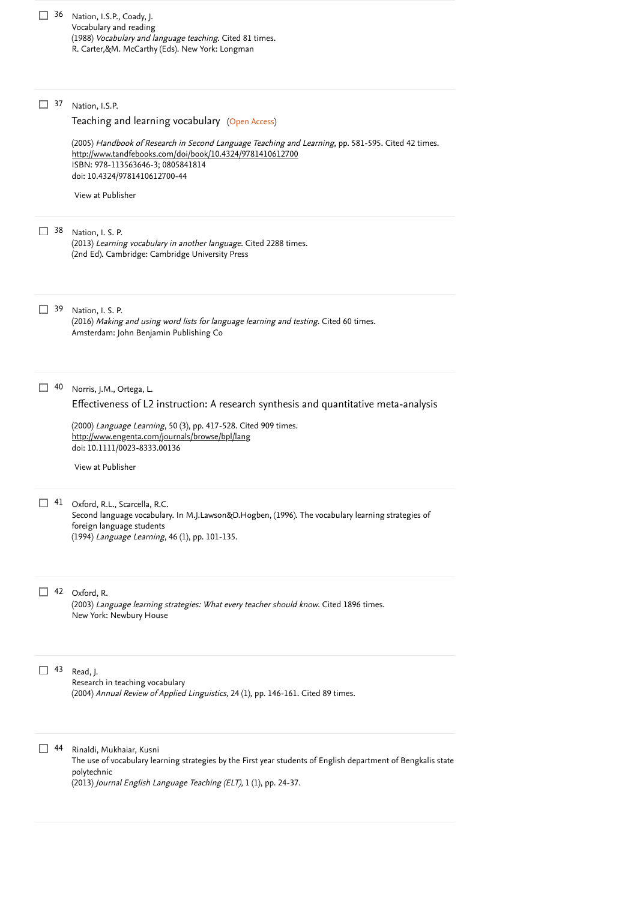| 36 | Nation, I.S.P., Coady, J.<br>Vocabulary and reading<br>(1988) Vocabulary and language teaching. Cited 81 times.<br>R. Carter, & M. McCarthy (Eds). New York: Longman                                                                                                                                                           |
|----|--------------------------------------------------------------------------------------------------------------------------------------------------------------------------------------------------------------------------------------------------------------------------------------------------------------------------------|
| 37 | Nation, I.S.P.<br>Teaching and learning vocabulary (Open Access)<br>(2005) Handbook of Research in Second Language Teaching and Learning, pp. 581-595. Cited 42 times.<br>http://www.tandfebooks.com/doi/book/10.4324/9781410612700<br>ISBN: 978-113563646-3; 0805841814<br>doi: 10.4324/9781410612700-44<br>View at Publisher |
| 38 | Nation, I. S. P.<br>(2013) Learning vocabulary in another language. Cited 2288 times.<br>(2nd Ed). Cambridge: Cambridge University Press                                                                                                                                                                                       |
| 39 | Nation, I. S. P.<br>(2016) Making and using word lists for language learning and testing. Cited 60 times.<br>Amsterdam: John Benjamin Publishing Co                                                                                                                                                                            |
| 40 | Norris, J.M., Ortega, L.<br>Effectiveness of L2 instruction: A research synthesis and quantitative meta-analysis<br>(2000) Language Learning, 50 (3), pp. 417-528. Cited 909 times.<br>http://www.engenta.com/journals/browse/bpl/lang<br>doi: 10.1111/0023-8333.00136<br>View at Publisher                                    |
| 41 | Oxford, R.L., Scarcella, R.C.<br>Second language vocabulary. In M.J.Lawson&D.Hogben, (1996). The vocabulary learning strategies of<br>foreign language students<br>(1994) Language Learning, 46 (1), pp. 101-135.                                                                                                              |
|    | 42 Oxford, R.<br>(2003) Language learning strategies: What every teacher should know. Cited 1896 times.<br>New York: Newbury House                                                                                                                                                                                             |
| 43 | Read, J.<br>Research in teaching vocabulary<br>(2004) Annual Review of Applied Linguistics, 24 (1), pp. 146-161. Cited 89 times.                                                                                                                                                                                               |
| 44 | Rinaldi, Mukhaiar, Kusni<br>The use of vocabulary learning strategies by the First year students of English department of Bengkalis state<br>polytechnic<br>(2013) Journal English Language Teaching (ELT), 1 (1), pp. 24-37.                                                                                                  |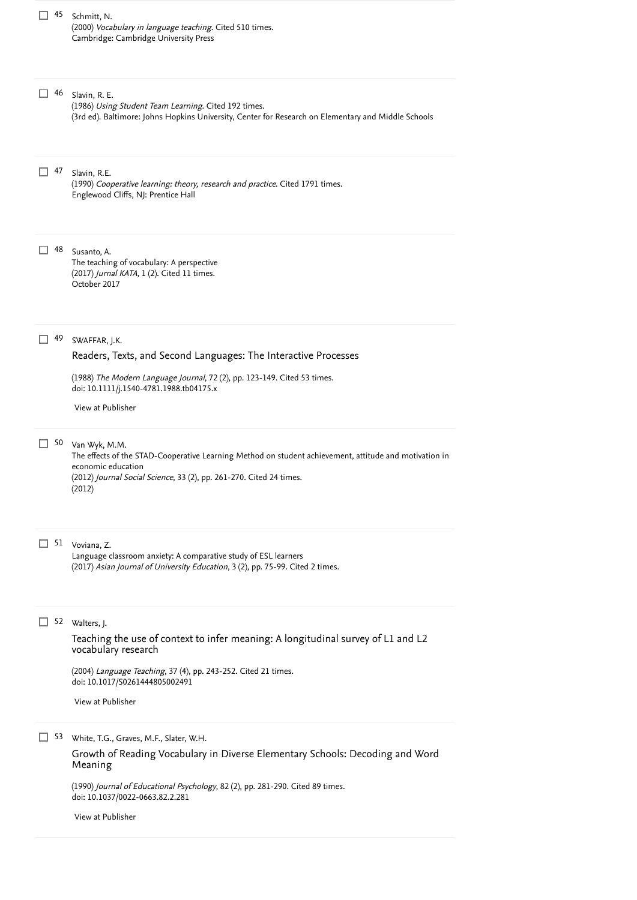| 45        | Schmitt, N.<br>(2000) Vocabulary in language teaching. Cited 510 times.<br>Cambridge: Cambridge University Press                                                                                                                                                              |
|-----------|-------------------------------------------------------------------------------------------------------------------------------------------------------------------------------------------------------------------------------------------------------------------------------|
| 46        | Slavin, R. E.<br>(1986) Using Student Team Learning. Cited 192 times.<br>(3rd ed). Baltimore: Johns Hopkins University, Center for Research on Elementary and Middle Schools                                                                                                  |
| $\Box$ 47 | Slavin, R.E.<br>(1990) Cooperative learning: theory, research and practice. Cited 1791 times.<br>Englewood Cliffs, NJ: Prentice Hall                                                                                                                                          |
| 48        | Susanto, A.<br>The teaching of vocabulary: A perspective<br>(2017) Jurnal KATA, 1 (2). Cited 11 times.<br>October 2017                                                                                                                                                        |
| 49        | SWAFFAR, J.K.<br>Readers, Texts, and Second Languages: The Interactive Processes<br>(1988) The Modern Language Journal, 72 (2), pp. 123-149. Cited 53 times.<br>doi: 10.1111/j.1540-4781.1988.tb04175.x<br>View at Publisher                                                  |
| 50        | Van Wyk, M.M.<br>The effects of the STAD-Cooperative Learning Method on student achievement, attitude and motivation in<br>economic education<br>(2012) Journal Social Science, 33 (2), pp. 261-270. Cited 24 times.<br>(2012)                                                |
| 51        | Voviana, Z.<br>Language classroom anxiety: A comparative study of ESL learners<br>(2017) Asian Journal of University Education, 3 (2), pp. 75-99. Cited 2 times.                                                                                                              |
|           | 52 Walters, J.<br>Teaching the use of context to infer meaning: A longitudinal survey of L1 and L2<br>vocabulary research<br>(2004) Language Teaching, 37 (4), pp. 243-252. Cited 21 times.<br>doi: 10.1017/S0261444805002491<br>View at Publisher                            |
| 53        | White, T.G., Graves, M.F., Slater, W.H.<br>Growth of Reading Vocabulary in Diverse Elementary Schools: Decoding and Word<br>Meaning<br>(1990) Journal of Educational Psychology, 82 (2), pp. 281-290. Cited 89 times.<br>doi: 10.1037/0022-0663.82.2.281<br>View at Publisher |